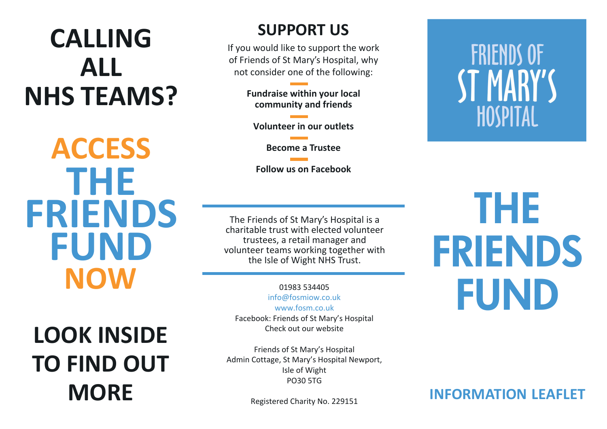## **CALLING ALL NHS TEAMS?**

**THE FRIENDS FUND NOW ACCESS**

**LOOK INSIDE TO FIND OUT MORE**

## **SUPPORT US**

If you would like to support the work of Friends of St Mary's Hospital, why not consider one of the following:

> **Fundraise within your local community and friends**

**Volunteer in our outlets** 

**Become a Trustee**

**Follow us on Facebook**

The Friends of St Mary's Hospital is a charitable trust with elected volunteer trustees, a retail manager and volunteer teams working together with the Isle of Wight NHS Trust.

01983 534405 info@fosmiow.co.uk www.fosm.co.uk Facebook: Friends of St Mary's Hospital Check out our website

Friends of St Mary's Hospital Admin Cottage, St Mary's Hospital Newport, Isle of Wight PO30 5TG

Registered Charity No. 229151

# **FRIENDS OF** ST MARY'S **HOSPITAL**

THE FRIENDS FUND

**INFORMATION LEAFLET**